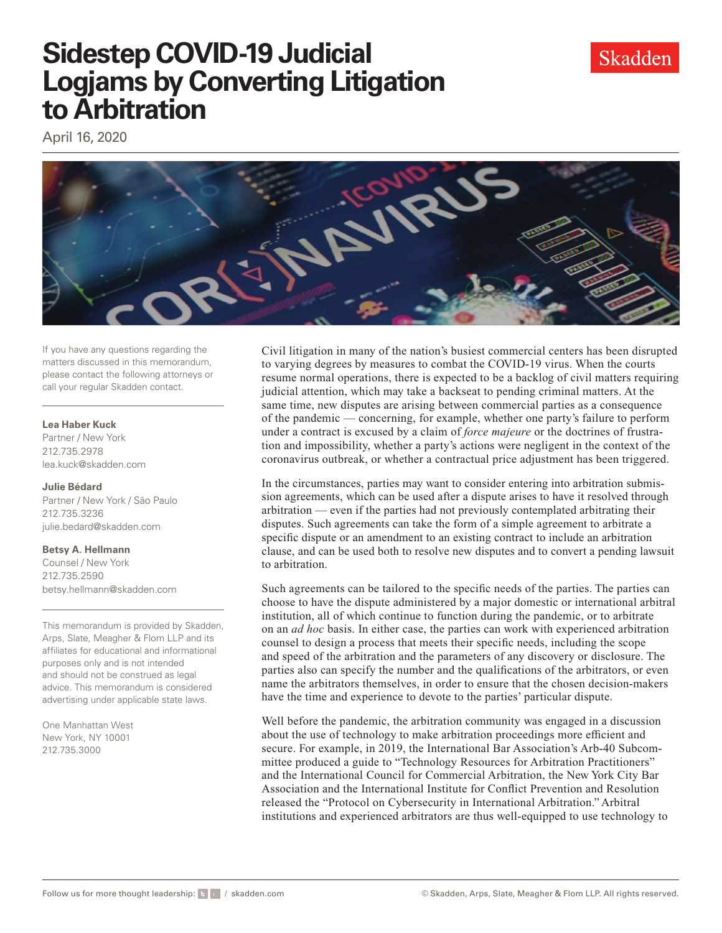

# **Sidestep COVID-19 Judicial Logjams by Converting Litigation to Arbitration**

April 16, 2020



If you have any questions regarding the matters discussed in this memorandum, please contact the following attorneys or call your regular Skadden contact.

### **Lea Haber Kuck**

Partner / New York 212.735.2978 [lea.kuck@skadden.com](mailto:lea.kuck@skadden.com) 

#### **Julie Bédard**

Partner / New York / São Paulo 212.735.3236 [julie.bedard@skadden.com](mailto:julie.bedard@skadden.com)

## **Betsy A. Hellmann**

Counsel / New York 212.735.2590 [betsy.hellmann@skadden.com](mailto:betsy.hellmann@skadden.com) 

This memorandum is provided by Skadden, Arps, Slate, Meagher & Flom LLP and its affiliates for educational and informational purposes only and is not intended and should not be construed as legal advice. This memorandum is considered advertising under applicable state laws.

One Manhattan West New York, NY 10001 212.735.3000

Civil litigation in many of the nation's busiest commercial centers has been disrupted to varying degrees by measures to combat the COVID-19 virus. When the courts resume normal operations, there is expected to be a backlog of civil matters requiring judicial attention, which may take a backseat to pending criminal matters. At the same time, new disputes are arising between commercial parties as a consequence of the pandemic — concerning, for example, whether one party's failure to perform under a contract is excused by a claim of *force majeure* or the doctrines of frustration and impossibility, whether a party's actions were negligent in the context of the coronavirus outbreak, or whether a contractual price adjustment has been triggered.

In the circumstances, parties may want to consider entering into arbitration submission agreements, which can be used after a dispute arises to have it resolved through arbitration — even if the parties had not previously contemplated arbitrating their disputes. Such agreements can take the form of a simple agreement to arbitrate a specifc dispute or an amendment to an existing contract to include an arbitration clause, and can be used both to resolve new disputes and to convert a pending lawsuit to arbitration.

Such agreements can be tailored to the specifc needs of the parties. The parties can choose to have the dispute administered by a major domestic or international arbitral institution, all of which continue to function during the pandemic, or to arbitrate on an *ad hoc* basis. In either case, the parties can work with experienced arbitration counsel to design a process that meets their specifc needs, including the scope and speed of the arbitration and the parameters of any discovery or disclosure. The parties also can specify the number and the qualifcations of the arbitrators, or even name the arbitrators themselves, in order to ensure that the chosen decision-makers have the time and experience to devote to the parties' particular dispute.

 released the "Protocol on Cybersecurity in International Arbitration." Arbitral Well before the pandemic, the arbitration community was engaged in a discussion about the use of technology to make arbitration proceedings more efficient and secure. For example, in 2019, the International Bar Association's Arb-40 Subcommittee produced a guide to "Technology Resources for Arbitration Practitioners" and the International Council for Commercial Arbitration, the New York City Bar Association and the International Institute for Confict Prevention and Resolution institutions and experienced arbitrators are thus well-equipped to use technology to